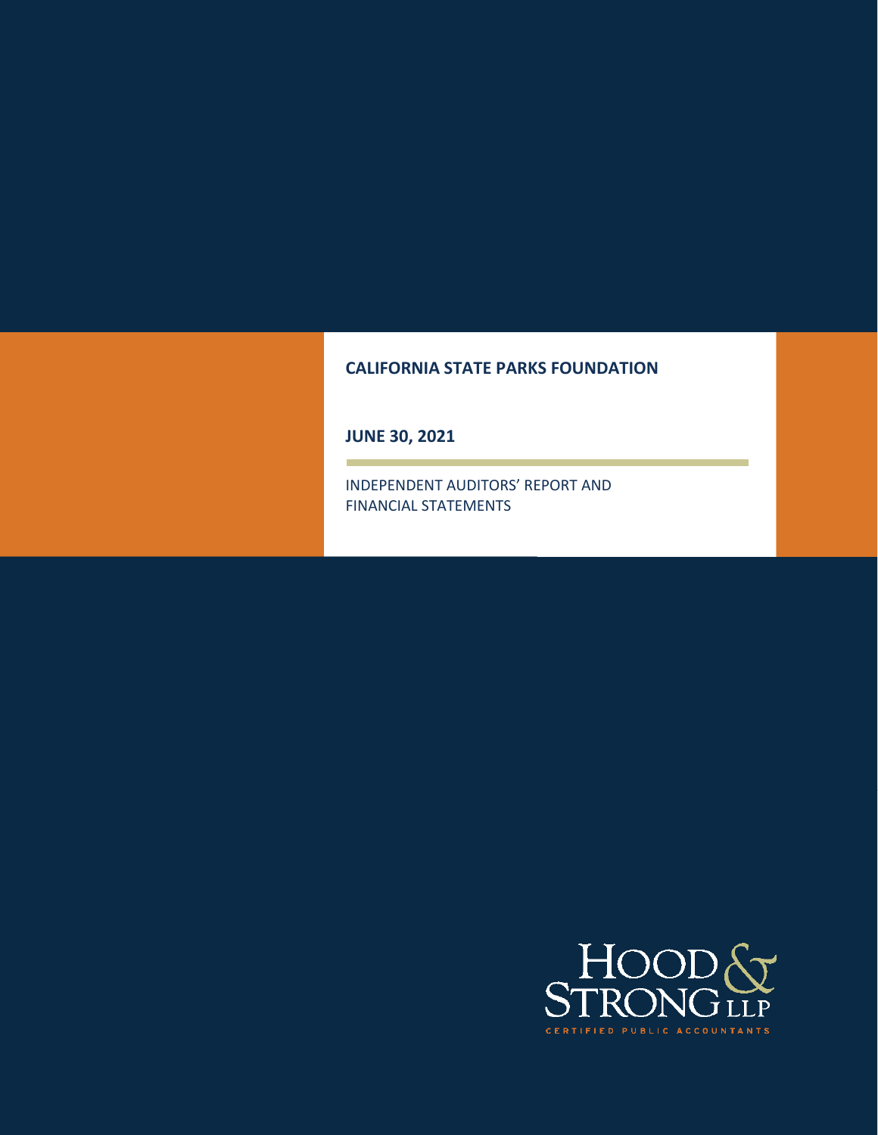### **CALIFORNIA STATE PARKS FOUNDATION**

**JUNE 30, 2021** 

INDEPENDENT AUDITORS' REPORT AND FINANCIAL STATEMENTS

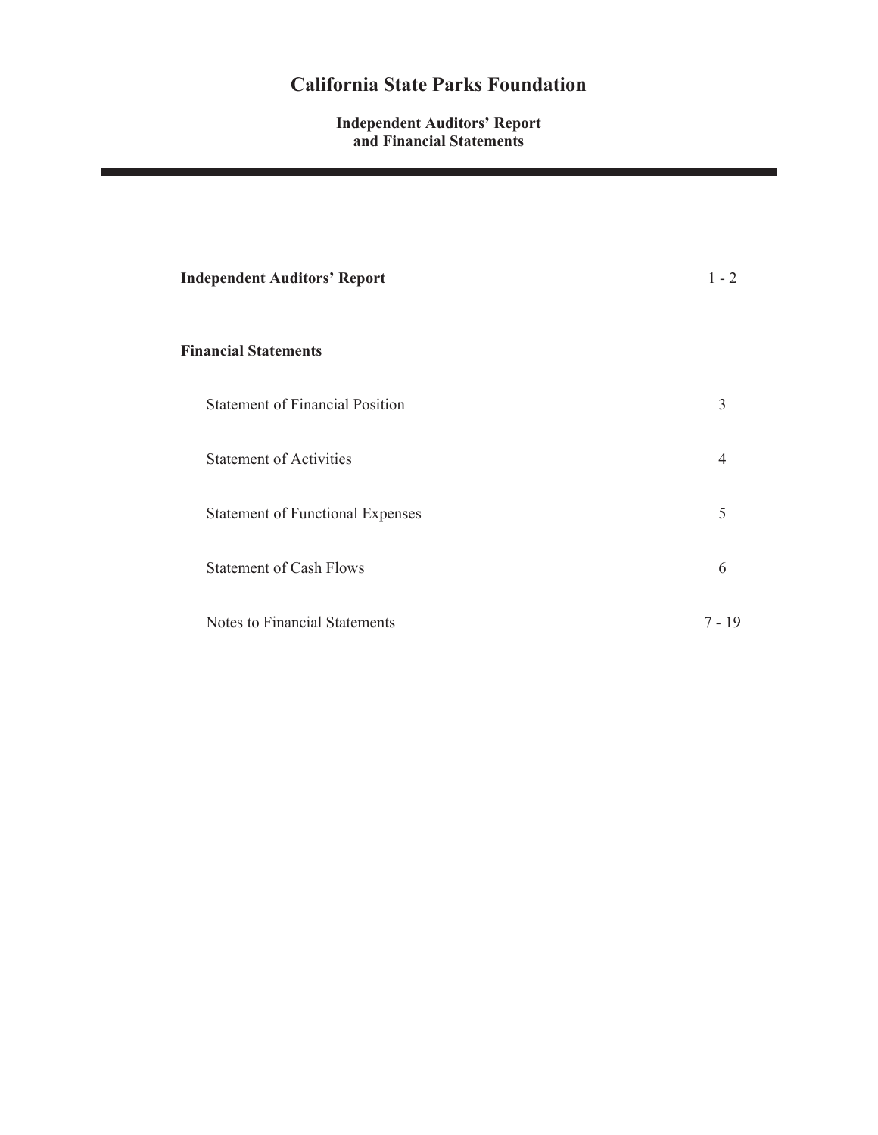### **Independent Auditors' Report and Financial Statements**

| <b>Independent Auditors' Report</b>     | $1 - 2$ |
|-----------------------------------------|---------|
| <b>Financial Statements</b>             |         |
| <b>Statement of Financial Position</b>  | 3       |
| <b>Statement of Activities</b>          | 4       |
| <b>Statement of Functional Expenses</b> | 5       |
| <b>Statement of Cash Flows</b>          | 6       |
| Notes to Financial Statements           | 7 - 19  |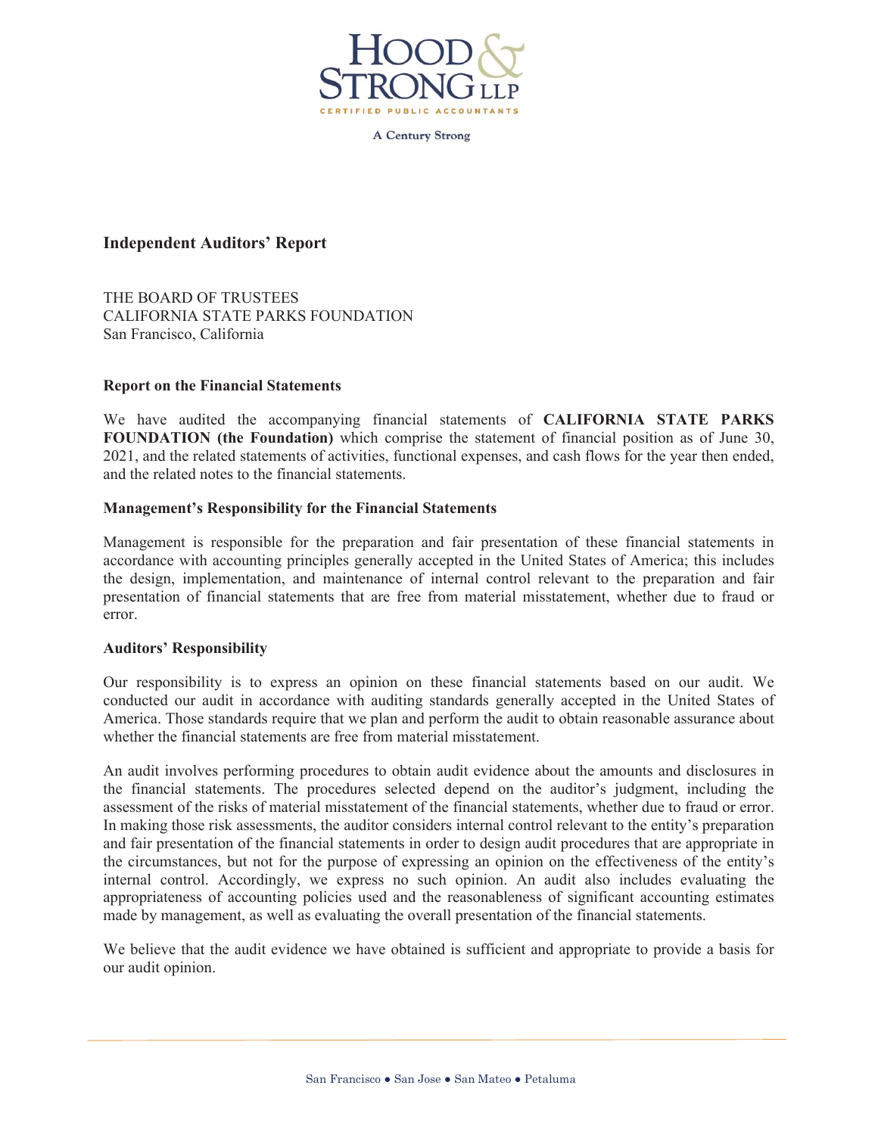

**A Century Strong** 

### **Independent Auditors' Report**

THE BOARD OF TRUSTEES CALIFORNIA STATE PARKS FOUNDATION San Francisco, California

#### **Report on the Financial Statements**

We have audited the accompanying financial statements of **CALIFORNIA STATE PARKS FOUNDATION (the Foundation)** which comprise the statement of financial position as of June 30, 2021, and the related statements of activities, functional expenses, and cash flows for the year then ended, and the related notes to the financial statements.

#### **Management's Responsibility for the Financial Statements**

Management is responsible for the preparation and fair presentation of these financial statements in accordance with accounting principles generally accepted in the United States of America; this includes the design, implementation, and maintenance of internal control relevant to the preparation and fair presentation of financial statements that are free from material misstatement, whether due to fraud or error.

#### **Auditors' Responsibility**

Our responsibility is to express an opinion on these financial statements based on our audit. We conducted our audit in accordance with auditing standards generally accepted in the United States of America. Those standards require that we plan and perform the audit to obtain reasonable assurance about whether the financial statements are free from material misstatement.

An audit involves performing procedures to obtain audit evidence about the amounts and disclosures in the financial statements. The procedures selected depend on the auditor's judgment, including the assessment of the risks of material misstatement of the financial statements, whether due to fraud or error. In making those risk assessments, the auditor considers internal control relevant to the entity's preparation and fair presentation of the financial statements in order to design audit procedures that are appropriate in the circumstances, but not for the purpose of expressing an opinion on the effectiveness of the entity's internal control. Accordingly, we express no such opinion. An audit also includes evaluating the appropriateness of accounting policies used and the reasonableness of significant accounting estimates made by management, as well as evaluating the overall presentation of the financial statements.

We believe that the audit evidence we have obtained is sufficient and appropriate to provide a basis for our audit opinion.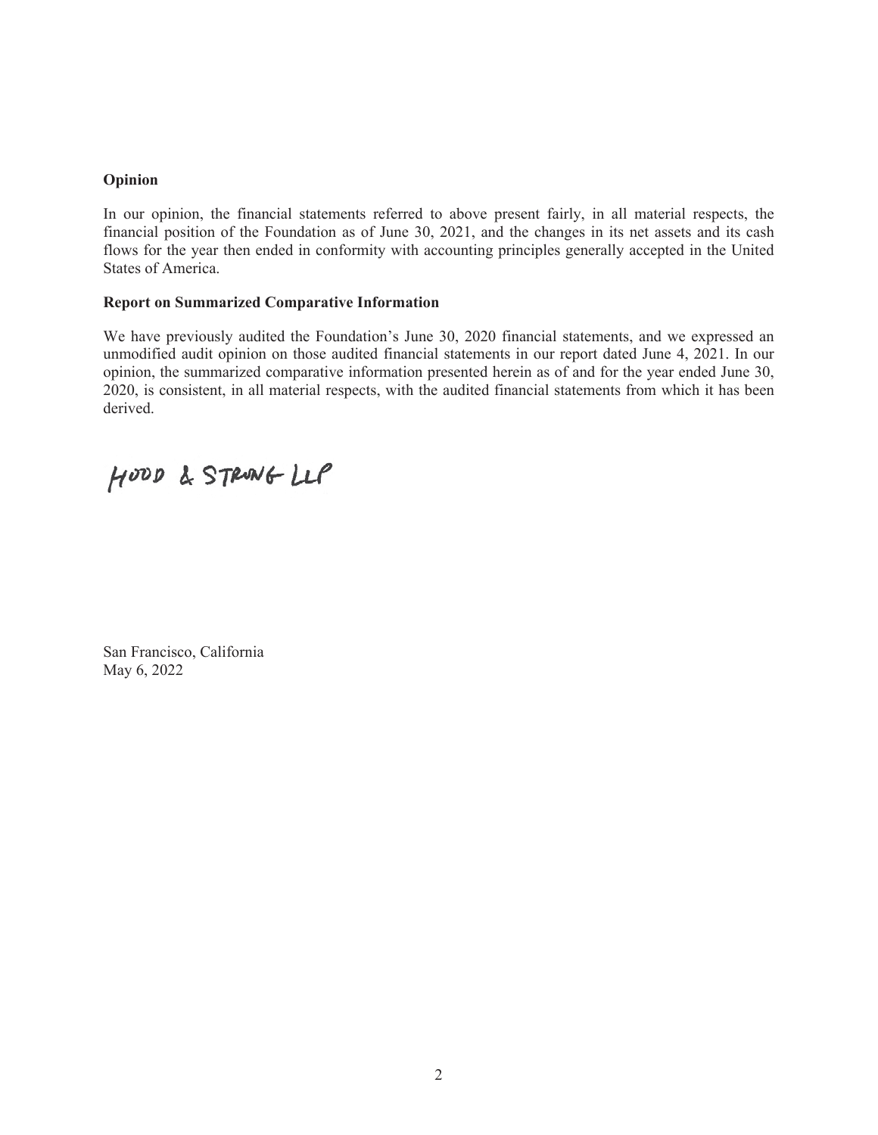#### **Opinion**

In our opinion, the financial statements referred to above present fairly, in all material respects, the financial position of the Foundation as of June 30, 2021, and the changes in its net assets and its cash flows for the year then ended in conformity with accounting principles generally accepted in the United States of America.

#### **Report on Summarized Comparative Information**

We have previously audited the Foundation's June 30, 2020 financial statements, and we expressed an unmodified audit opinion on those audited financial statements in our report dated June 4, 2021. In our opinion, the summarized comparative information presented herein as of and for the year ended June 30, 2020, is consistent, in all material respects, with the audited financial statements from which it has been derived.

HOOD & STRING LLP

San Francisco, California May 6, 2022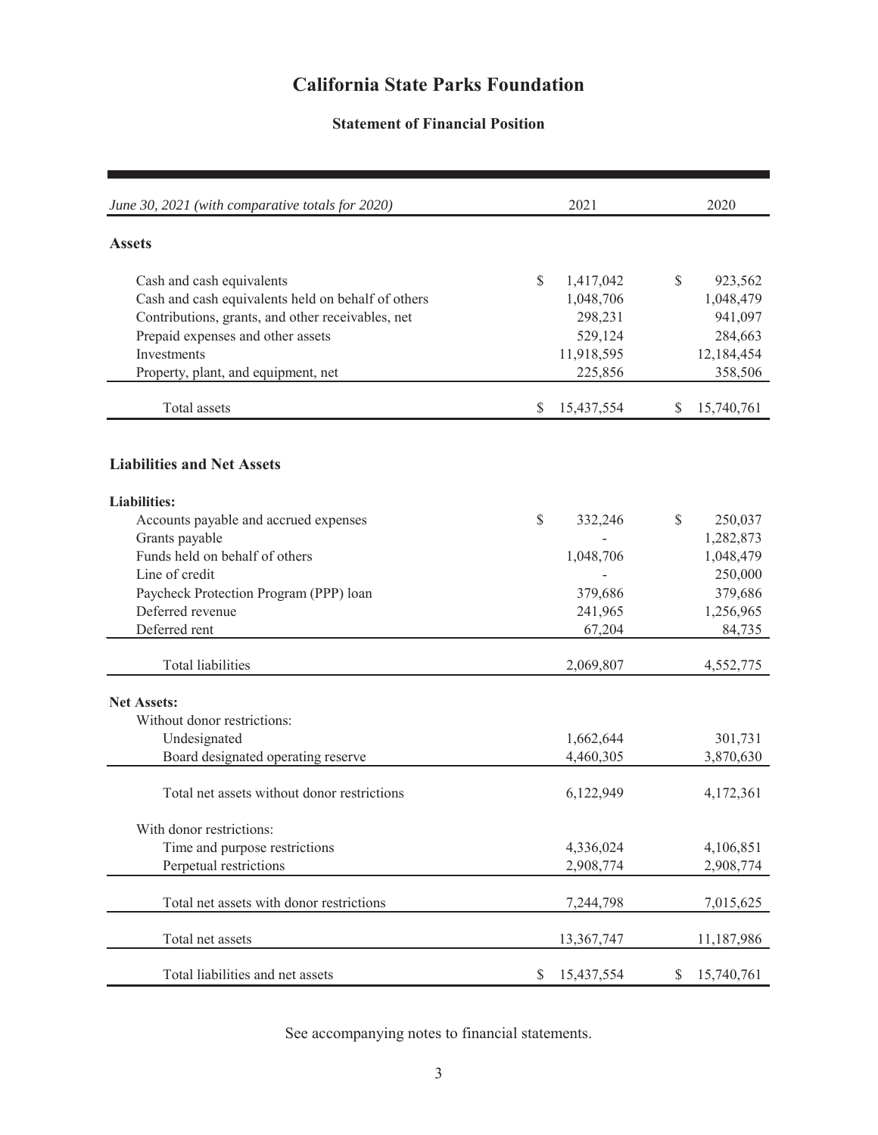### **Statement of Financial Position**

| 2021<br>June 30, 2021 (with comparative totals for 2020)                                                                                                                                                                        |                                                                             | 2020                                                                                 |
|---------------------------------------------------------------------------------------------------------------------------------------------------------------------------------------------------------------------------------|-----------------------------------------------------------------------------|--------------------------------------------------------------------------------------|
| <b>Assets</b>                                                                                                                                                                                                                   |                                                                             |                                                                                      |
| Cash and cash equivalents<br>Cash and cash equivalents held on behalf of others<br>Contributions, grants, and other receivables, net<br>Prepaid expenses and other assets<br>Investments<br>Property, plant, and equipment, net | \$<br>1,417,042<br>1,048,706<br>298,231<br>529,124<br>11,918,595<br>225,856 | \$<br>923,562<br>1,048,479<br>941,097<br>284,663<br>12,184,454<br>358,506            |
| Total assets                                                                                                                                                                                                                    | \$<br>15,437,554                                                            | \$<br>15,740,761                                                                     |
| <b>Liabilities and Net Assets</b>                                                                                                                                                                                               |                                                                             |                                                                                      |
| <b>Liabilities:</b><br>Accounts payable and accrued expenses<br>Grants payable<br>Funds held on behalf of others<br>Line of credit<br>Paycheck Protection Program (PPP) loan<br>Deferred revenue<br>Deferred rent               | \$<br>332,246<br>1,048,706<br>379,686<br>241,965<br>67,204                  | \$<br>250,037<br>1,282,873<br>1,048,479<br>250,000<br>379,686<br>1,256,965<br>84,735 |
| <b>Total liabilities</b>                                                                                                                                                                                                        | 2,069,807                                                                   | 4,552,775                                                                            |
| <b>Net Assets:</b><br>Without donor restrictions:<br>Undesignated<br>Board designated operating reserve                                                                                                                         | 1,662,644<br>4,460,305                                                      | 301,731<br>3,870,630                                                                 |
| Total net assets without donor restrictions                                                                                                                                                                                     | 6,122,949                                                                   | 4,172,361                                                                            |
| With donor restrictions:<br>Time and purpose restrictions<br>Perpetual restrictions                                                                                                                                             | 4,336,024<br>2,908,774                                                      | 4,106,851<br>2,908,774                                                               |
| Total net assets with donor restrictions                                                                                                                                                                                        | 7,244,798                                                                   | 7,015,625                                                                            |
| Total net assets<br>Total liabilities and net assets                                                                                                                                                                            | 13,367,747<br>\$<br>15,437,554                                              | 11,187,986<br>$\$$<br>15,740,761                                                     |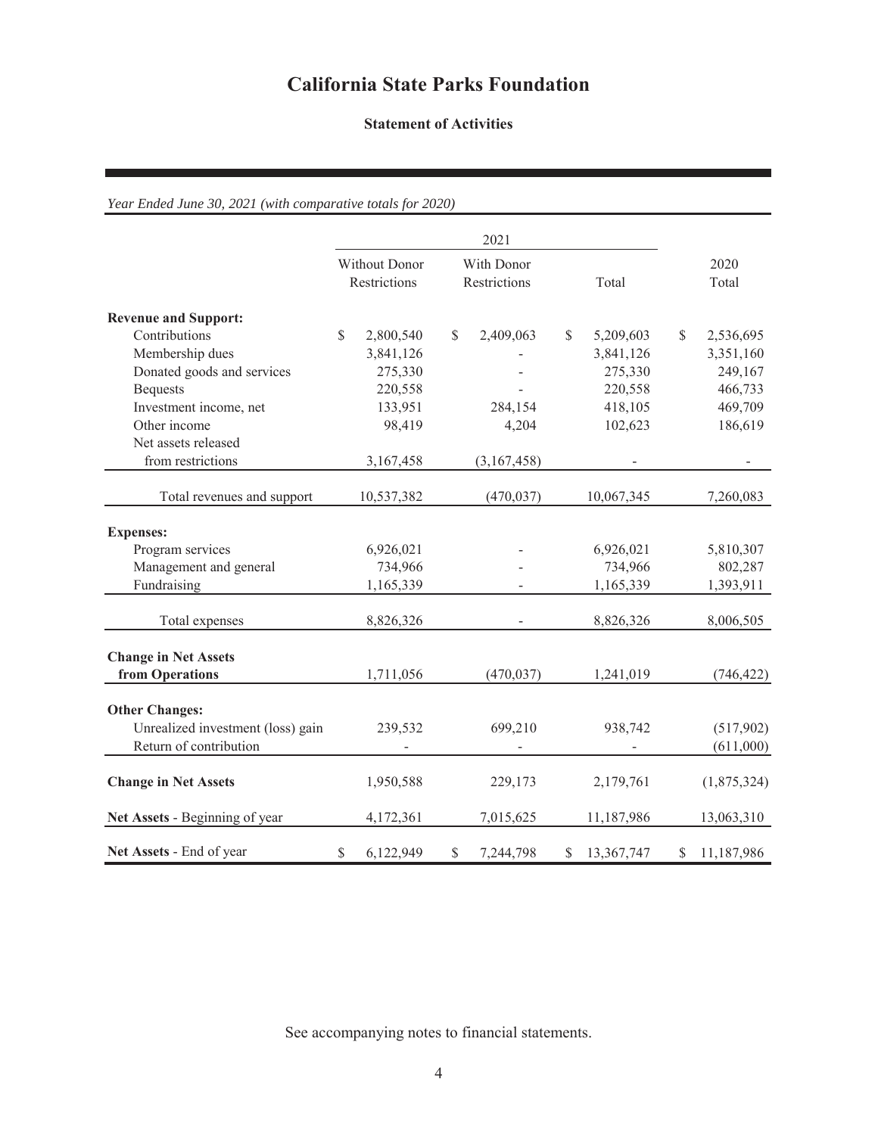### **Statement of Activities**

*Year Ended June 30, 2021 (with comparative totals for 2020)*

|                                   |              |                               |               | 2021                       |    |            |    |               |
|-----------------------------------|--------------|-------------------------------|---------------|----------------------------|----|------------|----|---------------|
|                                   |              | Without Donor<br>Restrictions |               | With Donor<br>Restrictions |    | Total      |    | 2020<br>Total |
| <b>Revenue and Support:</b>       |              |                               |               |                            |    |            |    |               |
| Contributions                     | \$           | 2,800,540                     | $\mathbb{S}$  | 2,409,063                  | \$ | 5,209,603  | S  | 2,536,695     |
| Membership dues                   |              | 3,841,126                     |               |                            |    | 3,841,126  |    | 3,351,160     |
| Donated goods and services        |              | 275,330                       |               |                            |    | 275,330    |    | 249,167       |
| <b>Bequests</b>                   |              | 220,558                       |               |                            |    | 220,558    |    | 466,733       |
| Investment income, net            |              | 133,951                       |               | 284,154                    |    | 418,105    |    | 469,709       |
| Other income                      |              | 98,419                        |               | 4,204                      |    | 102,623    |    | 186,619       |
| Net assets released               |              |                               |               |                            |    |            |    |               |
| from restrictions                 |              | 3,167,458                     |               | (3,167,458)                |    |            |    |               |
| Total revenues and support        |              | 10,537,382                    |               | (470, 037)                 |    | 10,067,345 |    | 7,260,083     |
| <b>Expenses:</b>                  |              |                               |               |                            |    |            |    |               |
| Program services                  |              | 6,926,021                     |               |                            |    | 6,926,021  |    | 5,810,307     |
| Management and general            |              | 734,966                       |               |                            |    | 734,966    |    | 802,287       |
| Fundraising                       |              | 1,165,339                     |               |                            |    | 1,165,339  |    | 1,393,911     |
| Total expenses                    |              | 8,826,326                     |               |                            |    | 8,826,326  |    | 8,006,505     |
| <b>Change in Net Assets</b>       |              |                               |               |                            |    |            |    |               |
| from Operations                   |              | 1,711,056                     |               | (470, 037)                 |    | 1,241,019  |    | (746, 422)    |
| <b>Other Changes:</b>             |              |                               |               |                            |    |            |    |               |
| Unrealized investment (loss) gain |              | 239,532                       |               | 699,210                    |    | 938,742    |    | (517,902)     |
| Return of contribution            |              |                               |               |                            |    |            |    | (611,000)     |
| <b>Change in Net Assets</b>       |              | 1,950,588                     |               | 229,173                    |    | 2,179,761  |    | (1,875,324)   |
| Net Assets - Beginning of year    |              | 4,172,361                     |               | 7,015,625                  |    | 11,187,986 |    | 13,063,310    |
| Net Assets - End of year          | $\mathbb{S}$ | 6,122,949                     | $\mathcal{S}$ | 7,244,798                  | \$ | 13,367,747 | \$ | 11,187,986    |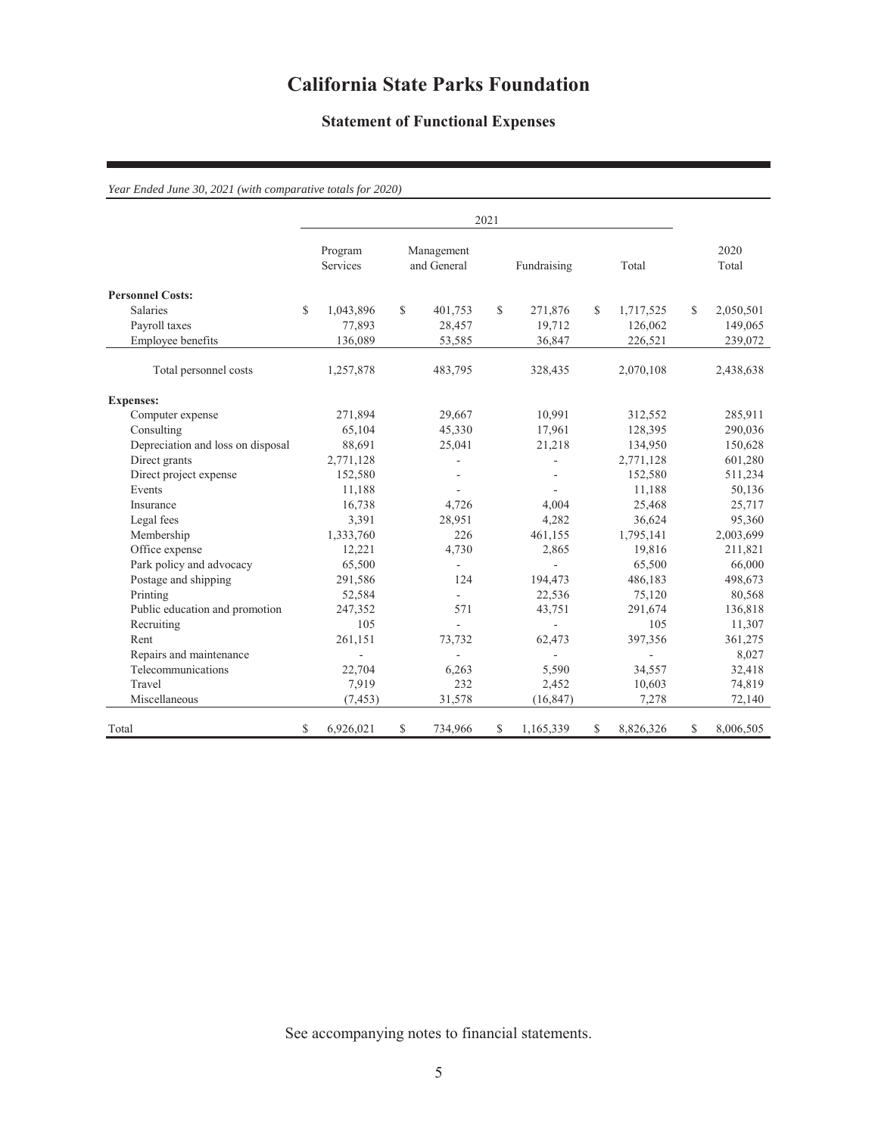# **Statement of Functional Expenses**

*Year Ended June 30, 2021 (with comparative totals for 2020)*

| 2021                              |   |                     |    |                           |    |             |   |                          |    |               |
|-----------------------------------|---|---------------------|----|---------------------------|----|-------------|---|--------------------------|----|---------------|
|                                   |   | Program<br>Services |    | Management<br>and General |    | Fundraising |   | Total                    |    | 2020<br>Total |
| <b>Personnel Costs:</b>           |   |                     |    |                           |    |             |   |                          |    |               |
| Salaries                          | S | 1,043,896           | S  | 401,753                   | \$ | 271,876     | S | 1,717,525                | \$ | 2,050,501     |
| Payroll taxes                     |   | 77,893              |    | 28,457                    |    | 19,712      |   | 126,062                  |    | 149,065       |
| Employee benefits                 |   | 136,089             |    | 53,585                    |    | 36,847      |   | 226,521                  |    | 239,072       |
| Total personnel costs             |   | 1,257,878           |    | 483,795                   |    | 328,435     |   | 2,070,108                |    | 2,438,638     |
| <b>Expenses:</b>                  |   |                     |    |                           |    |             |   |                          |    |               |
| Computer expense                  |   | 271,894             |    | 29,667                    |    | 10,991      |   | 312,552                  |    | 285,911       |
| Consulting                        |   | 65,104              |    | 45,330                    |    | 17,961      |   | 128,395                  |    | 290,036       |
| Depreciation and loss on disposal |   | 88,691              |    | 25,041                    |    | 21,218      |   | 134,950                  |    | 150,628       |
| Direct grants                     |   | 2,771,128           |    |                           |    |             |   | 2,771,128                |    | 601,280       |
| Direct project expense            |   | 152,580             |    |                           |    |             |   | 152,580                  |    | 511,234       |
| Events                            |   | 11,188              |    |                           |    |             |   | 11,188                   |    | 50,136        |
| Insurance                         |   | 16,738              |    | 4,726                     |    | 4,004       |   | 25,468                   |    | 25,717        |
| Legal fees                        |   | 3,391               |    | 28,951                    |    | 4,282       |   | 36,624                   |    | 95,360        |
| Membership                        |   | 1,333,760           |    | 226                       |    | 461,155     |   | 1,795,141                |    | 2,003,699     |
| Office expense                    |   | 12,221              |    | 4,730                     |    | 2,865       |   | 19,816                   |    | 211,821       |
| Park policy and advocacy          |   | 65,500              |    |                           |    |             |   | 65,500                   |    | 66,000        |
| Postage and shipping              |   | 291,586             |    | 124                       |    | 194,473     |   | 486,183                  |    | 498,673       |
| Printing                          |   | 52,584              |    |                           |    | 22.536      |   | 75,120                   |    | 80,568        |
| Public education and promotion    |   | 247,352             |    | 571                       |    | 43,751      |   | 291,674                  |    | 136,818       |
| Recruiting                        |   | 105                 |    |                           |    |             |   | 105                      |    | 11,307        |
| Rent                              |   | 261,151             |    | 73.732                    |    | 62,473      |   | 397,356                  |    | 361,275       |
| Repairs and maintenance           |   |                     |    |                           |    | L,          |   | $\overline{\phantom{a}}$ |    | 8,027         |
| Telecommunications                |   | 22,704              |    | 6,263                     |    | 5,590       |   | 34,557                   |    | 32,418        |
| Travel                            |   | 7,919               |    | 232                       |    | 2,452       |   | 10,603                   |    | 74,819        |
| Miscellaneous                     |   | (7, 453)            |    | 31,578                    |    | (16, 847)   |   | 7,278                    |    | 72,140        |
| Total                             | S | 6,926,021           | \$ | 734,966                   | \$ | 1,165,339   | S | 8,826,326                | S  | 8,006,505     |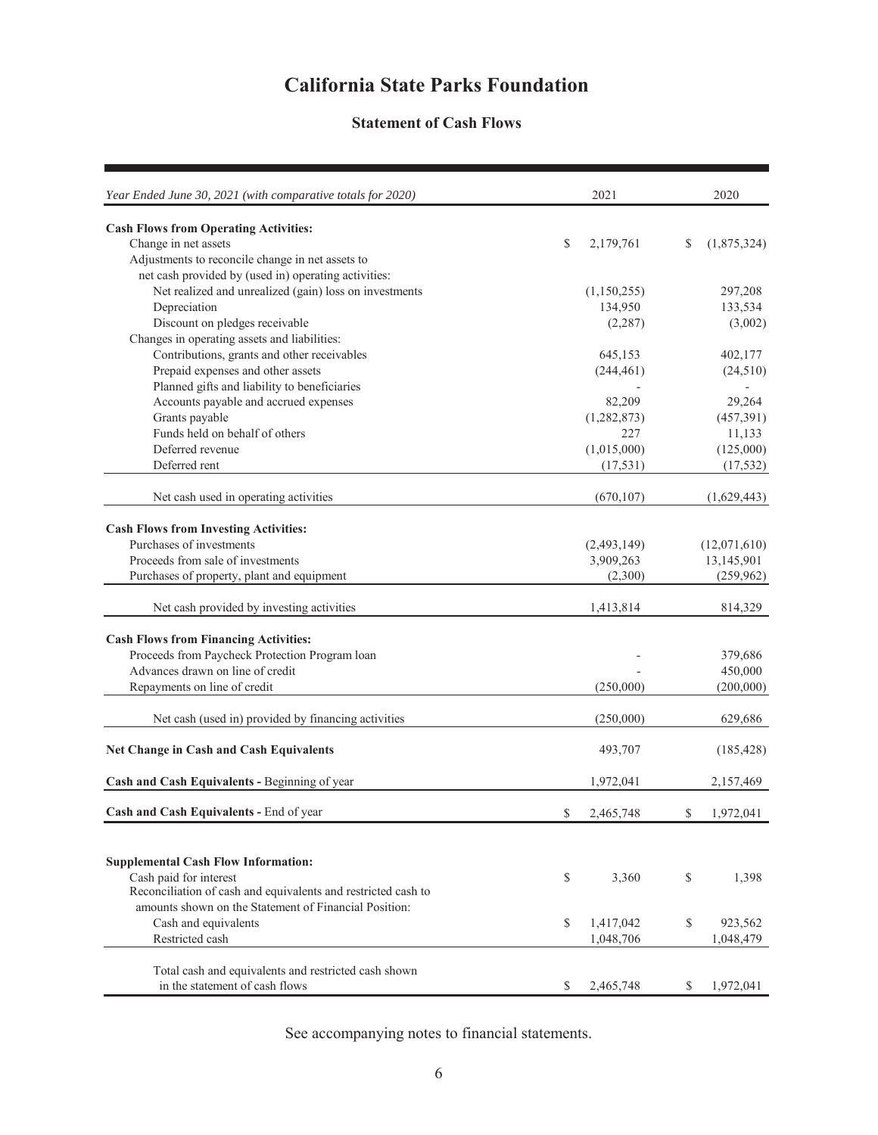## **Statement of Cash Flows**

| Year Ended June 30, 2021 (with comparative totals for 2020)   | 2021            | 2020              |
|---------------------------------------------------------------|-----------------|-------------------|
| <b>Cash Flows from Operating Activities:</b>                  |                 |                   |
| Change in net assets                                          | \$<br>2,179,761 | \$<br>(1,875,324) |
| Adjustments to reconcile change in net assets to              |                 |                   |
| net cash provided by (used in) operating activities:          |                 |                   |
| Net realized and unrealized (gain) loss on investments        | (1,150,255)     | 297,208           |
| Depreciation                                                  | 134,950         | 133,534           |
| Discount on pledges receivable                                | (2, 287)        | (3,002)           |
| Changes in operating assets and liabilities:                  |                 |                   |
| Contributions, grants and other receivables                   | 645,153         | 402,177           |
| Prepaid expenses and other assets                             | (244, 461)      | (24,510)          |
| Planned gifts and liability to beneficiaries                  |                 |                   |
| Accounts payable and accrued expenses                         | 82,209          | 29,264            |
| Grants payable                                                | (1,282,873)     | (457, 391)        |
| Funds held on behalf of others                                | 227             | 11,133            |
| Deferred revenue                                              | (1,015,000)     | (125,000)         |
| Deferred rent                                                 | (17, 531)       | (17, 532)         |
| Net cash used in operating activities                         | (670, 107)      | (1,629,443)       |
| <b>Cash Flows from Investing Activities:</b>                  |                 |                   |
| Purchases of investments                                      | (2,493,149)     | (12,071,610)      |
| Proceeds from sale of investments                             | 3,909,263       | 13,145,901        |
| Purchases of property, plant and equipment                    | (2,300)         | (259, 962)        |
|                                                               |                 |                   |
| Net cash provided by investing activities                     | 1,413,814       | 814,329           |
| <b>Cash Flows from Financing Activities:</b>                  |                 |                   |
| Proceeds from Paycheck Protection Program loan                |                 | 379,686           |
| Advances drawn on line of credit                              |                 | 450,000           |
| Repayments on line of credit                                  | (250,000)       | (200,000)         |
| Net cash (used in) provided by financing activities           | (250,000)       | 629,686           |
|                                                               |                 |                   |
| Net Change in Cash and Cash Equivalents                       | 493,707         | (185, 428)        |
| Cash and Cash Equivalents - Beginning of year                 | 1,972,041       | 2,157,469         |
| Cash and Cash Equivalents - End of year                       | \$<br>2,465,748 | \$<br>1,972,041   |
|                                                               |                 |                   |
| <b>Supplemental Cash Flow Information:</b>                    |                 |                   |
| Cash paid for interest                                        | \$<br>3,360     | \$<br>1,398       |
| Reconciliation of cash and equivalents and restricted cash to |                 |                   |
| amounts shown on the Statement of Financial Position:         |                 |                   |
| Cash and equivalents                                          | \$<br>1,417,042 | \$<br>923,562     |
| Restricted cash                                               | 1,048,706       | 1,048,479         |
| Total cash and equivalents and restricted cash shown          |                 |                   |
| in the statement of cash flows                                | \$<br>2,465,748 | \$<br>1,972,041   |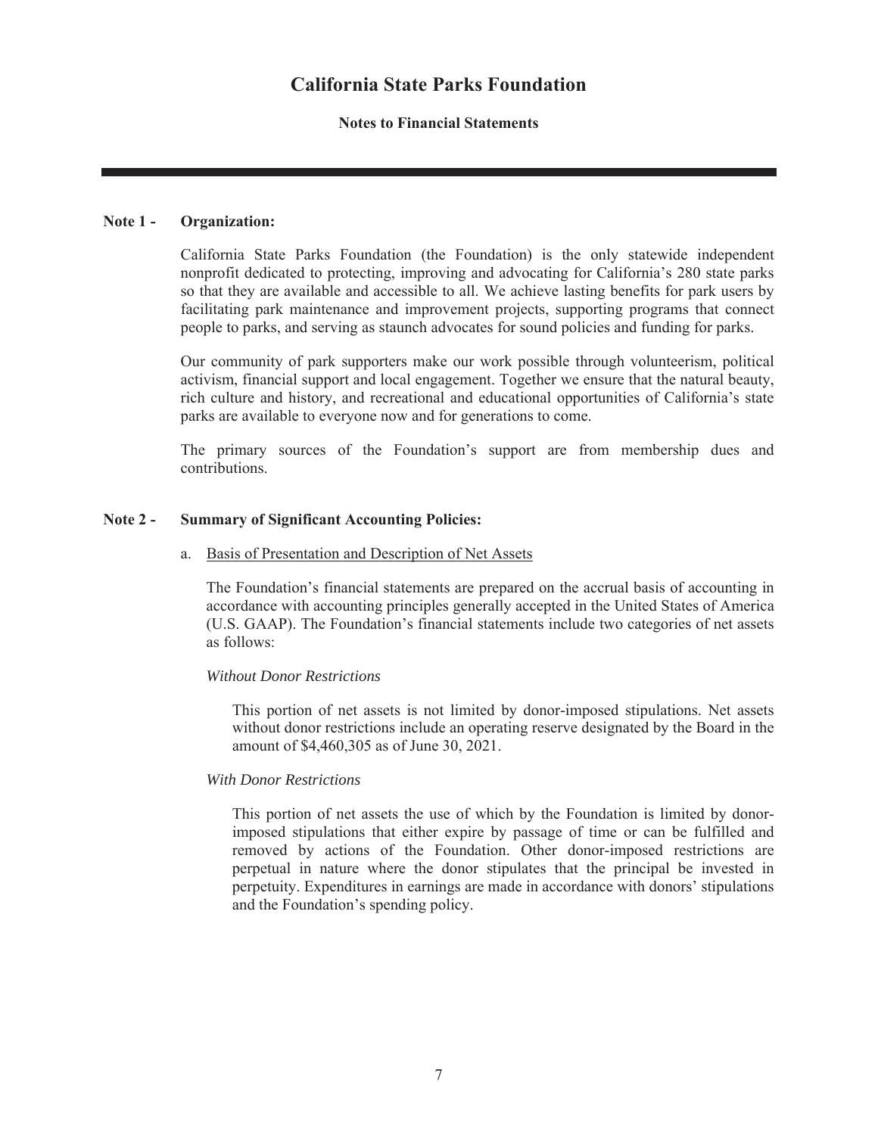### **Notes to Financial Statements**

#### **Note 1 - Organization:**

California State Parks Foundation (the Foundation) is the only statewide independent nonprofit dedicated to protecting, improving and advocating for California's 280 state parks so that they are available and accessible to all. We achieve lasting benefits for park users by facilitating park maintenance and improvement projects, supporting programs that connect people to parks, and serving as staunch advocates for sound policies and funding for parks.

Our community of park supporters make our work possible through volunteerism, political activism, financial support and local engagement. Together we ensure that the natural beauty, rich culture and history, and recreational and educational opportunities of California's state parks are available to everyone now and for generations to come.

The primary sources of the Foundation's support are from membership dues and contributions.

#### **Note 2 - Summary of Significant Accounting Policies:**

#### a. Basis of Presentation and Description of Net Assets

The Foundation's financial statements are prepared on the accrual basis of accounting in accordance with accounting principles generally accepted in the United States of America (U.S. GAAP). The Foundation's financial statements include two categories of net assets as follows:

#### *Without Donor Restrictions*

This portion of net assets is not limited by donor-imposed stipulations. Net assets without donor restrictions include an operating reserve designated by the Board in the amount of \$4,460,305 as of June 30, 2021.

#### *With Donor Restrictions*

This portion of net assets the use of which by the Foundation is limited by donorimposed stipulations that either expire by passage of time or can be fulfilled and removed by actions of the Foundation. Other donor-imposed restrictions are perpetual in nature where the donor stipulates that the principal be invested in perpetuity. Expenditures in earnings are made in accordance with donors' stipulations and the Foundation's spending policy.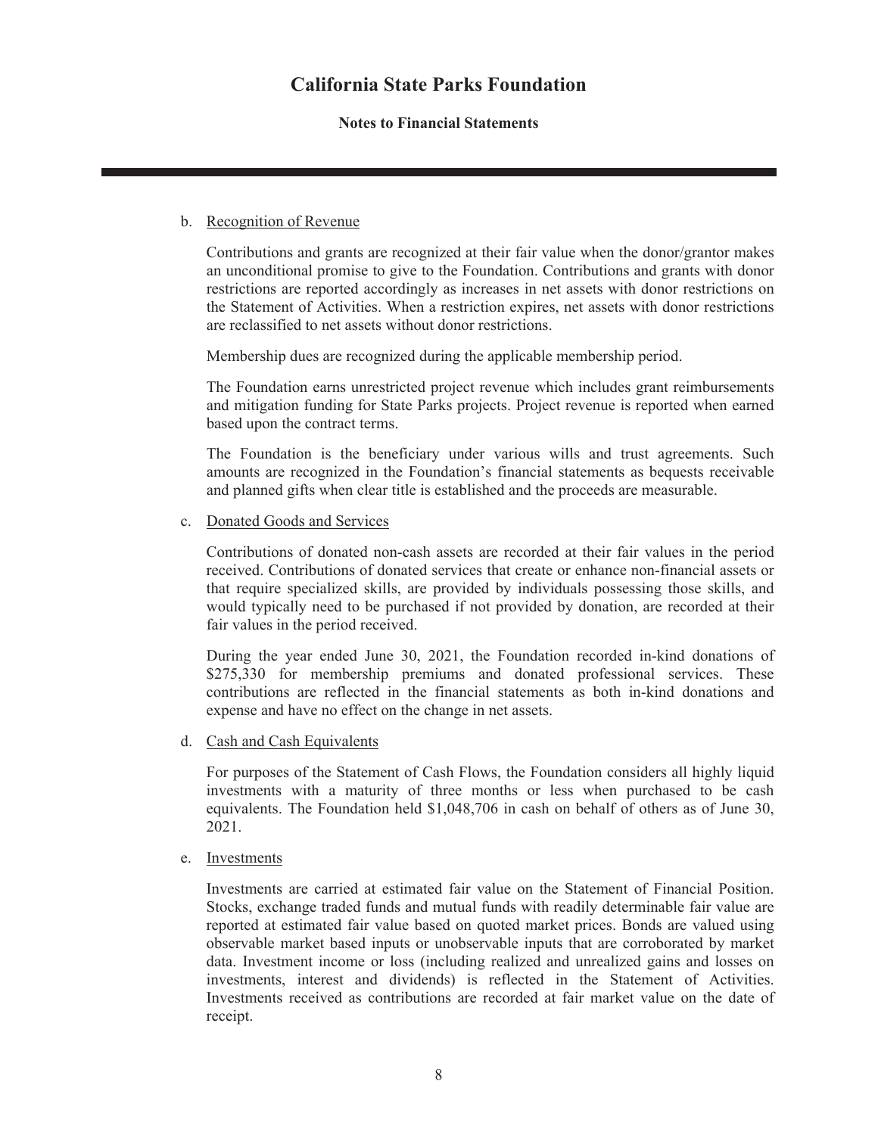**Notes to Financial Statements**

#### b. Recognition of Revenue

Contributions and grants are recognized at their fair value when the donor/grantor makes an unconditional promise to give to the Foundation. Contributions and grants with donor restrictions are reported accordingly as increases in net assets with donor restrictions on the Statement of Activities. When a restriction expires, net assets with donor restrictions are reclassified to net assets without donor restrictions.

Membership dues are recognized during the applicable membership period.

The Foundation earns unrestricted project revenue which includes grant reimbursements and mitigation funding for State Parks projects. Project revenue is reported when earned based upon the contract terms.

The Foundation is the beneficiary under various wills and trust agreements. Such amounts are recognized in the Foundation's financial statements as bequests receivable and planned gifts when clear title is established and the proceeds are measurable.

#### c. Donated Goods and Services

Contributions of donated non-cash assets are recorded at their fair values in the period received. Contributions of donated services that create or enhance non-financial assets or that require specialized skills, are provided by individuals possessing those skills, and would typically need to be purchased if not provided by donation, are recorded at their fair values in the period received.

During the year ended June 30, 2021, the Foundation recorded in-kind donations of \$275,330 for membership premiums and donated professional services. These contributions are reflected in the financial statements as both in-kind donations and expense and have no effect on the change in net assets.

d. Cash and Cash Equivalents

For purposes of the Statement of Cash Flows, the Foundation considers all highly liquid investments with a maturity of three months or less when purchased to be cash equivalents. The Foundation held \$1,048,706 in cash on behalf of others as of June 30, 2021.

e. Investments

Investments are carried at estimated fair value on the Statement of Financial Position. Stocks, exchange traded funds and mutual funds with readily determinable fair value are reported at estimated fair value based on quoted market prices. Bonds are valued using observable market based inputs or unobservable inputs that are corroborated by market data. Investment income or loss (including realized and unrealized gains and losses on investments, interest and dividends) is reflected in the Statement of Activities. Investments received as contributions are recorded at fair market value on the date of receipt.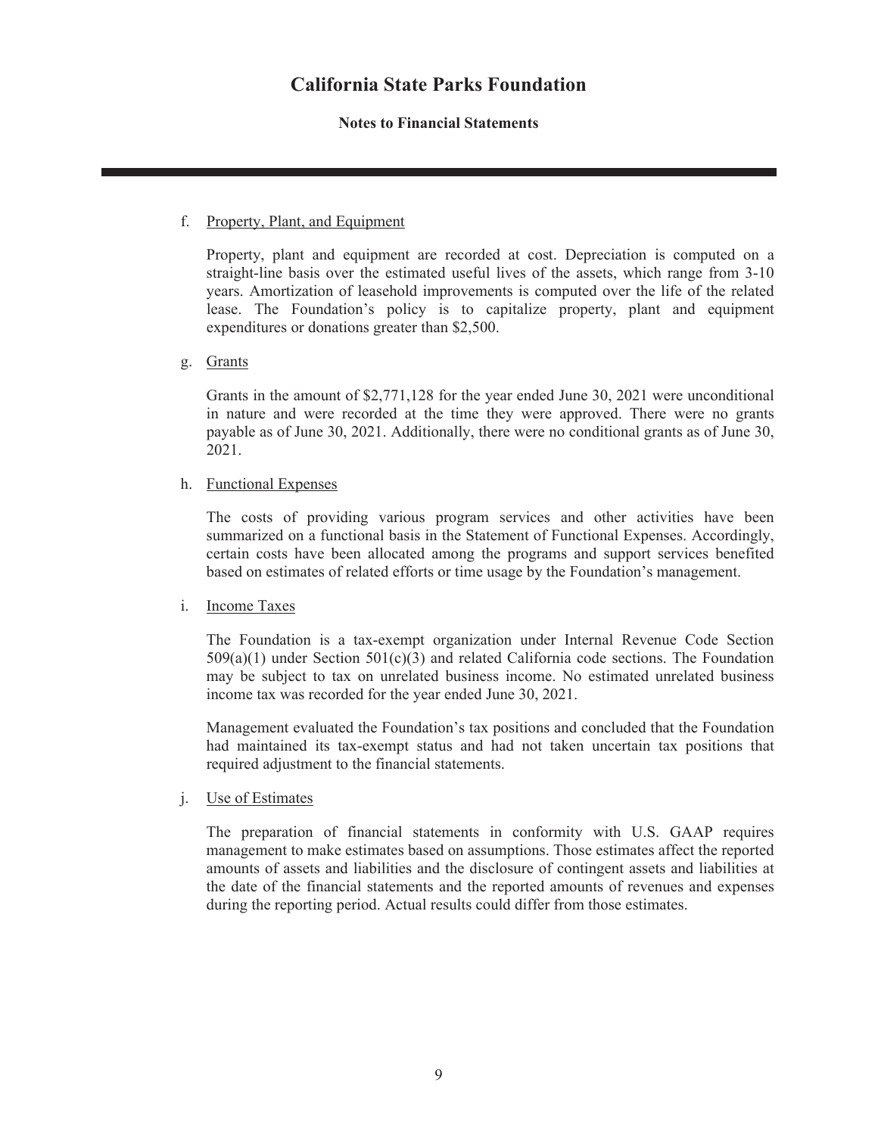### **Notes to Financial Statements**

### f. Property, Plant, and Equipment

Property, plant and equipment are recorded at cost. Depreciation is computed on a straight-line basis over the estimated useful lives of the assets, which range from 3-10 years. Amortization of leasehold improvements is computed over the life of the related lease. The Foundation's policy is to capitalize property, plant and equipment expenditures or donations greater than \$2,500.

#### g. Grants

Grants in the amount of \$2,771,128 for the year ended June 30, 2021 were unconditional in nature and were recorded at the time they were approved. There were no grants payable as of June 30, 2021. Additionally, there were no conditional grants as of June 30, 2021.

#### h. Functional Expenses

The costs of providing various program services and other activities have been summarized on a functional basis in the Statement of Functional Expenses. Accordingly, certain costs have been allocated among the programs and support services benefited based on estimates of related efforts or time usage by the Foundation's management.

### i. Income Taxes

The Foundation is a tax-exempt organization under Internal Revenue Code Section  $509(a)(1)$  under Section  $501(c)(3)$  and related California code sections. The Foundation may be subject to tax on unrelated business income. No estimated unrelated business income tax was recorded for the year ended June 30, 2021.

Management evaluated the Foundation's tax positions and concluded that the Foundation had maintained its tax-exempt status and had not taken uncertain tax positions that required adjustment to the financial statements.

#### j. Use of Estimates

The preparation of financial statements in conformity with U.S. GAAP requires management to make estimates based on assumptions. Those estimates affect the reported amounts of assets and liabilities and the disclosure of contingent assets and liabilities at the date of the financial statements and the reported amounts of revenues and expenses during the reporting period. Actual results could differ from those estimates.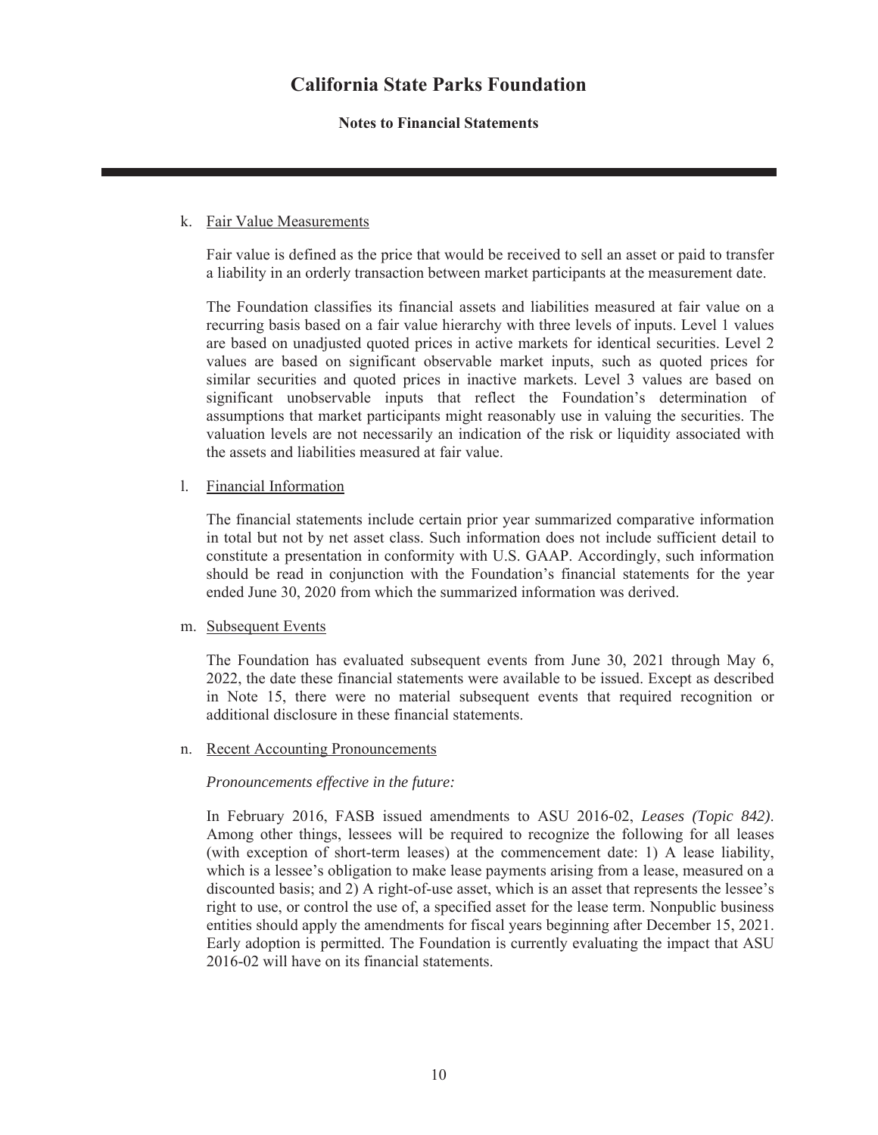**Notes to Financial Statements**

#### k. Fair Value Measurements

Fair value is defined as the price that would be received to sell an asset or paid to transfer a liability in an orderly transaction between market participants at the measurement date.

The Foundation classifies its financial assets and liabilities measured at fair value on a recurring basis based on a fair value hierarchy with three levels of inputs. Level 1 values are based on unadjusted quoted prices in active markets for identical securities. Level 2 values are based on significant observable market inputs, such as quoted prices for similar securities and quoted prices in inactive markets. Level 3 values are based on significant unobservable inputs that reflect the Foundation's determination of assumptions that market participants might reasonably use in valuing the securities. The valuation levels are not necessarily an indication of the risk or liquidity associated with the assets and liabilities measured at fair value.

#### l. Financial Information

The financial statements include certain prior year summarized comparative information in total but not by net asset class. Such information does not include sufficient detail to constitute a presentation in conformity with U.S. GAAP. Accordingly, such information should be read in conjunction with the Foundation's financial statements for the year ended June 30, 2020 from which the summarized information was derived.

#### m. Subsequent Events

The Foundation has evaluated subsequent events from June 30, 2021 through May 6, 2022, the date these financial statements were available to be issued. Except as described in Note 15, there were no material subsequent events that required recognition or additional disclosure in these financial statements.

#### n. Recent Accounting Pronouncements

### *Pronouncements effective in the future:*

In February 2016, FASB issued amendments to ASU 2016-02, *Leases (Topic 842)*. Among other things, lessees will be required to recognize the following for all leases (with exception of short-term leases) at the commencement date: 1) A lease liability, which is a lessee's obligation to make lease payments arising from a lease, measured on a discounted basis; and 2) A right-of-use asset, which is an asset that represents the lessee's right to use, or control the use of, a specified asset for the lease term. Nonpublic business entities should apply the amendments for fiscal years beginning after December 15, 2021. Early adoption is permitted. The Foundation is currently evaluating the impact that ASU 2016-02 will have on its financial statements.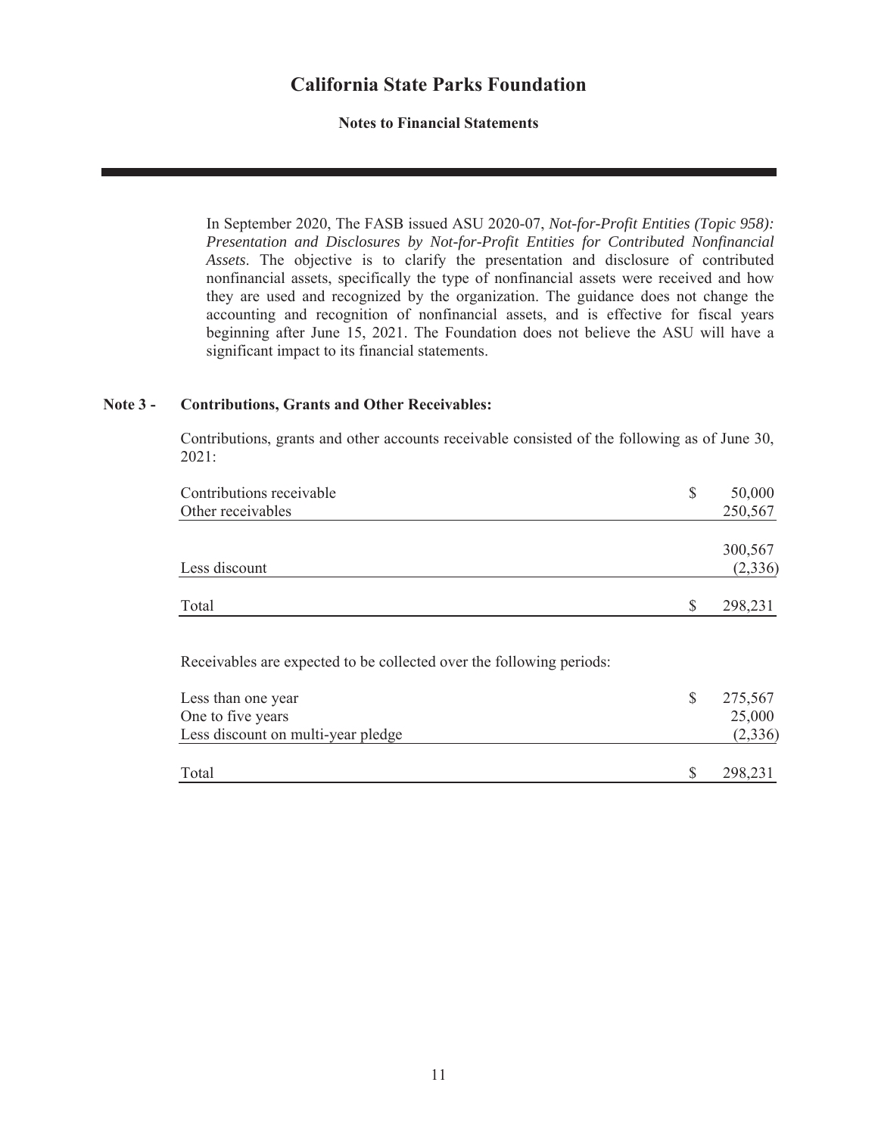**Notes to Financial Statements**

In September 2020, The FASB issued ASU 2020-07, *Not-for-Profit Entities (Topic 958): Presentation and Disclosures by Not-for-Profit Entities for Contributed Nonfinancial Assets*. The objective is to clarify the presentation and disclosure of contributed nonfinancial assets, specifically the type of nonfinancial assets were received and how they are used and recognized by the organization. The guidance does not change the accounting and recognition of nonfinancial assets, and is effective for fiscal years beginning after June 15, 2021. The Foundation does not believe the ASU will have a significant impact to its financial statements.

#### **Note 3 - Contributions, Grants and Other Receivables:**

Contributions, grants and other accounts receivable consisted of the following as of June 30, 2021:

| Contributions receivable                                             | \$ | 50,000   |
|----------------------------------------------------------------------|----|----------|
| Other receivables                                                    |    | 250,567  |
|                                                                      |    |          |
|                                                                      |    | 300,567  |
| Less discount                                                        |    | (2, 336) |
|                                                                      |    |          |
| Total                                                                | S  | 298,231  |
|                                                                      |    |          |
| Receivables are expected to be collected over the following periods: |    |          |
| Less than one year                                                   | \$ | 275,567  |
| One to five years                                                    |    | 25,000   |
| Less discount on multi-year pledge                                   |    | (2, 336) |
| Total                                                                | \$ | 298,231  |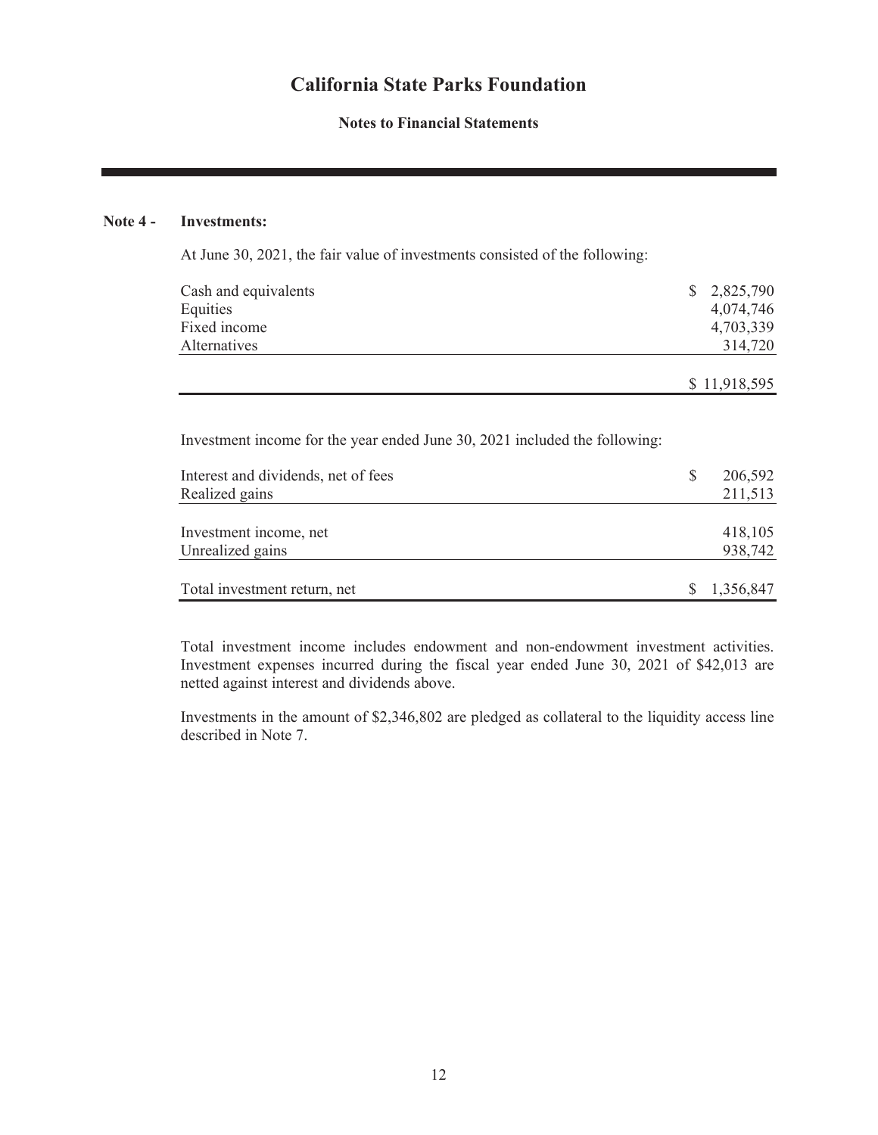**Notes to Financial Statements**

## **Note 4 - Investments:**

At June 30, 2021, the fair value of investments consisted of the following:

| Cash and equivalents | 2,825,790    |
|----------------------|--------------|
| Equities             | 4,074,746    |
| Fixed income         | 4,703,339    |
| Alternatives         | 314,720      |
|                      |              |
|                      | \$11,918,595 |
|                      |              |
|                      |              |

Investment income for the year ended June 30, 2021 included the following:

| Interest and dividends, net of fees<br>Realized gains | \$<br>206,592<br>211,513 |
|-------------------------------------------------------|--------------------------|
|                                                       |                          |
| Investment income, net                                | 418,105                  |
| Unrealized gains                                      | 938,742                  |
|                                                       |                          |
| Total investment return, net                          | 1,356,847                |

Total investment income includes endowment and non-endowment investment activities. Investment expenses incurred during the fiscal year ended June 30, 2021 of \$42,013 are netted against interest and dividends above.

Investments in the amount of \$2,346,802 are pledged as collateral to the liquidity access line described in Note 7.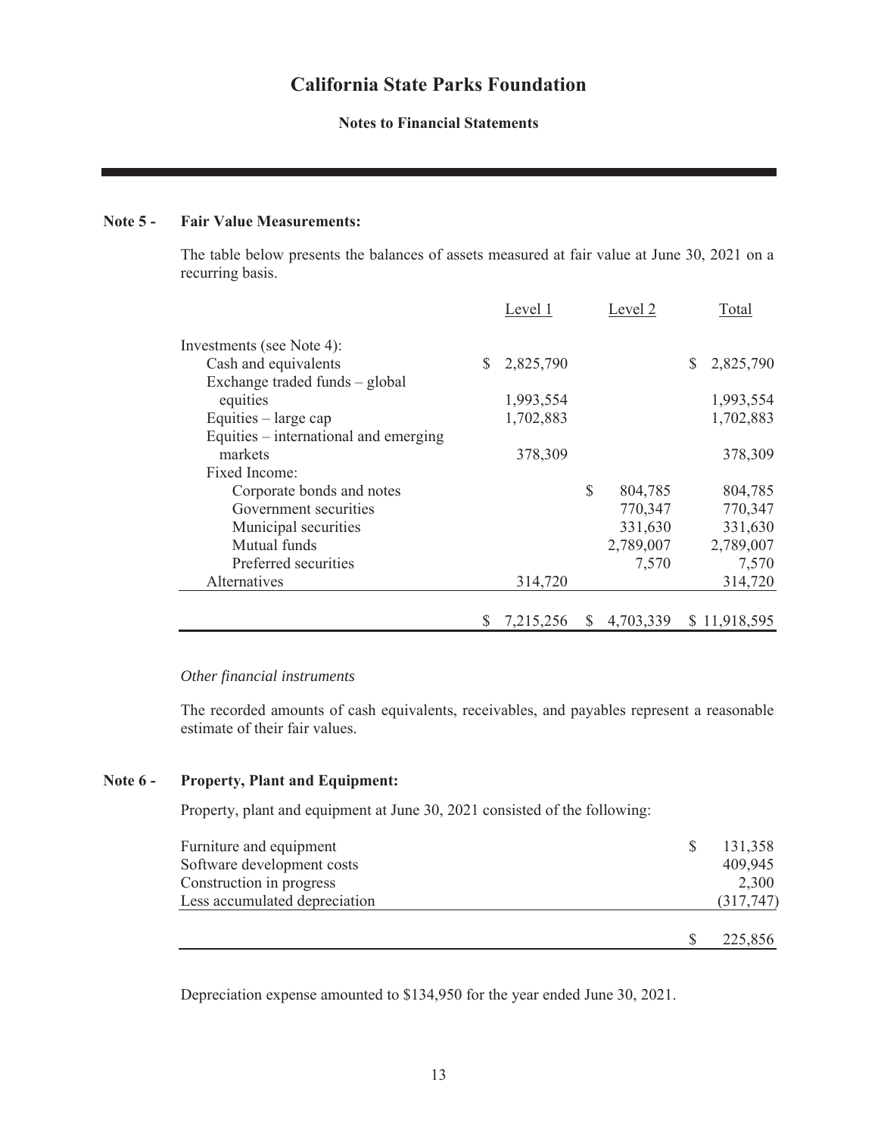**Notes to Financial Statements**

### **Note 5 - Fair Value Measurements:**

The table below presents the balances of assets measured at fair value at June 30, 2021 on a recurring basis.

|                                       |    | Level 1   |    | Level 2   |   | Total        |
|---------------------------------------|----|-----------|----|-----------|---|--------------|
| Investments (see Note 4):             |    |           |    |           |   |              |
| Cash and equivalents                  | S  | 2,825,790 |    |           | S | 2,825,790    |
| Exchange traded funds - global        |    |           |    |           |   |              |
| equities                              |    | 1,993,554 |    |           |   | 1,993,554    |
| Equities – large cap                  |    | 1,702,883 |    |           |   | 1,702,883    |
| Equities – international and emerging |    |           |    |           |   |              |
| markets                               |    | 378,309   |    |           |   | 378,309      |
| Fixed Income:                         |    |           |    |           |   |              |
| Corporate bonds and notes             |    |           | \$ | 804,785   |   | 804,785      |
| Government securities                 |    |           |    | 770,347   |   | 770,347      |
| Municipal securities                  |    |           |    | 331,630   |   | 331,630      |
| Mutual funds                          |    |           |    | 2,789,007 |   | 2,789,007    |
| Preferred securities                  |    |           |    | 7,570     |   | 7,570        |
| Alternatives                          |    | 314,720   |    |           |   | 314,720      |
|                                       | \$ | 7,215,256 | S  | 4,703,339 |   | \$11,918,595 |

#### *Other financial instruments*

The recorded amounts of cash equivalents, receivables, and payables represent a reasonable estimate of their fair values.

### **Note 6 - Property, Plant and Equipment:**

Property, plant and equipment at June 30, 2021 consisted of the following:

| Furniture and equipment       | 131,358   |
|-------------------------------|-----------|
| Software development costs    | 409,945   |
| Construction in progress      | 2,300     |
| Less accumulated depreciation | (317,747) |
|                               |           |
|                               | 225,856   |

Depreciation expense amounted to \$134,950 for the year ended June 30, 2021.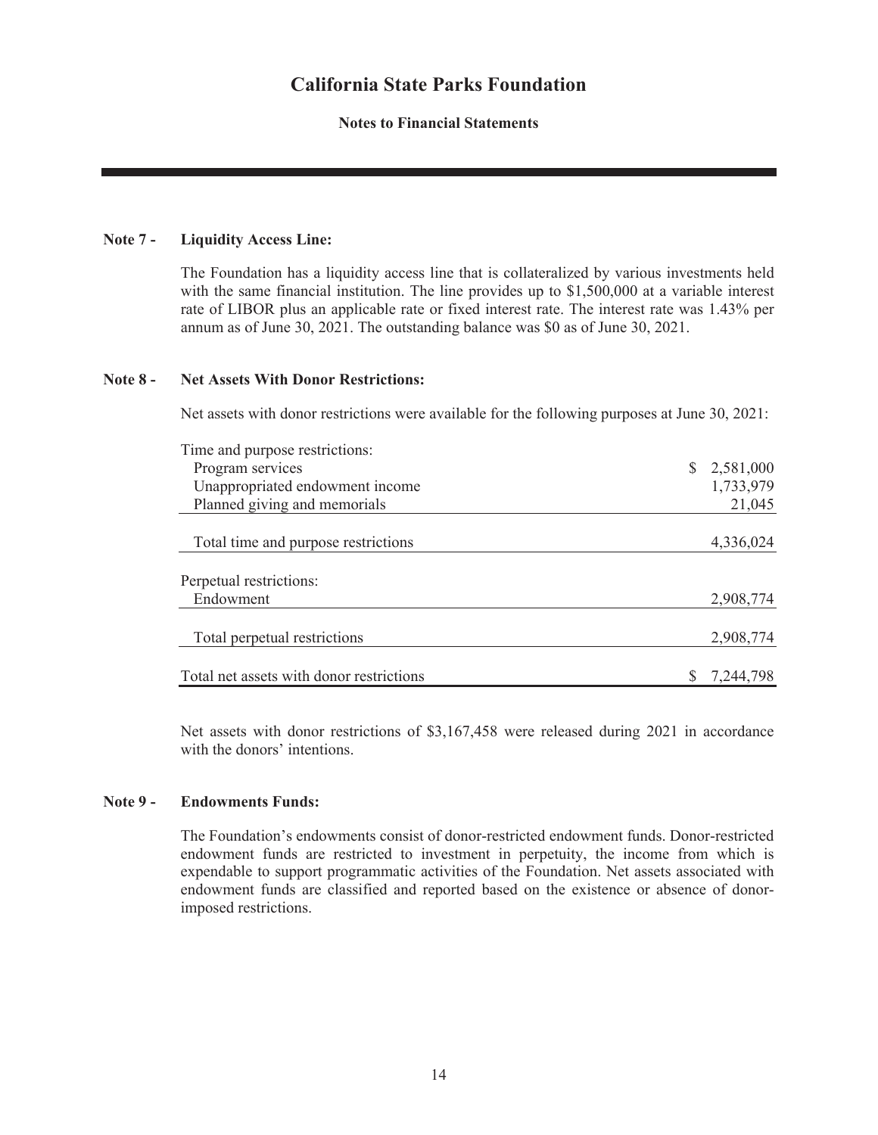#### **Notes to Financial Statements**

#### **Note 7 - Liquidity Access Line:**

The Foundation has a liquidity access line that is collateralized by various investments held with the same financial institution. The line provides up to \$1,500,000 at a variable interest rate of LIBOR plus an applicable rate or fixed interest rate. The interest rate was 1.43% per annum as of June 30, 2021. The outstanding balance was \$0 as of June 30, 2021.

#### **Note 8 - Net Assets With Donor Restrictions:**

Net assets with donor restrictions were available for the following purposes at June 30, 2021:

| Time and purpose restrictions:           |    |           |
|------------------------------------------|----|-----------|
| Program services                         | S. | 2,581,000 |
| Unappropriated endowment income          |    | 1,733,979 |
| Planned giving and memorials             |    | 21,045    |
|                                          |    |           |
| Total time and purpose restrictions      |    | 4,336,024 |
|                                          |    |           |
| Perpetual restrictions:                  |    |           |
| Endowment                                |    | 2,908,774 |
|                                          |    |           |
| Total perpetual restrictions             |    | 2,908,774 |
|                                          |    |           |
| Total net assets with donor restrictions |    | 7,244,798 |

Net assets with donor restrictions of \$3,167,458 were released during 2021 in accordance with the donors' intentions.

#### **Note 9 - Endowments Funds:**

The Foundation's endowments consist of donor-restricted endowment funds. Donor-restricted endowment funds are restricted to investment in perpetuity, the income from which is expendable to support programmatic activities of the Foundation. Net assets associated with endowment funds are classified and reported based on the existence or absence of donorimposed restrictions.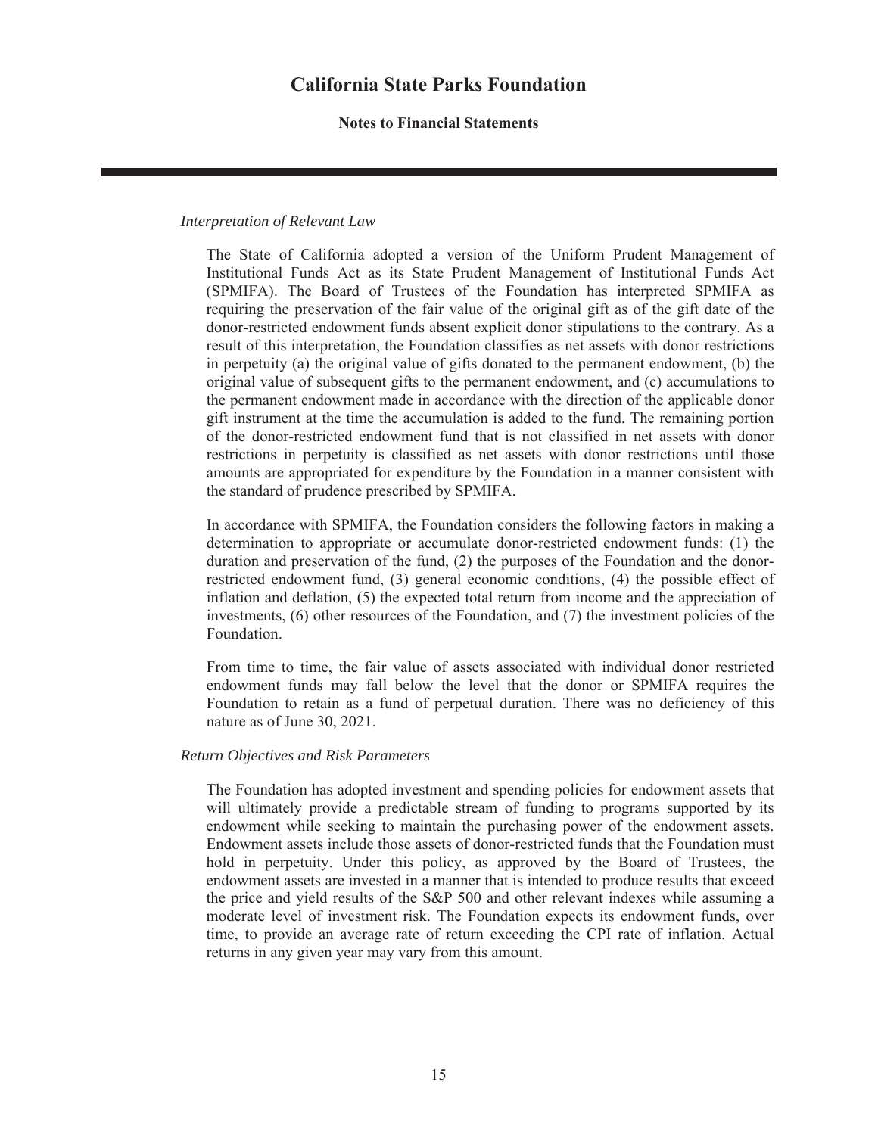### **Notes to Financial Statements**

#### *Interpretation of Relevant Law*

The State of California adopted a version of the Uniform Prudent Management of Institutional Funds Act as its State Prudent Management of Institutional Funds Act (SPMIFA). The Board of Trustees of the Foundation has interpreted SPMIFA as requiring the preservation of the fair value of the original gift as of the gift date of the donor-restricted endowment funds absent explicit donor stipulations to the contrary. As a result of this interpretation, the Foundation classifies as net assets with donor restrictions in perpetuity (a) the original value of gifts donated to the permanent endowment, (b) the original value of subsequent gifts to the permanent endowment, and (c) accumulations to the permanent endowment made in accordance with the direction of the applicable donor gift instrument at the time the accumulation is added to the fund. The remaining portion of the donor-restricted endowment fund that is not classified in net assets with donor restrictions in perpetuity is classified as net assets with donor restrictions until those amounts are appropriated for expenditure by the Foundation in a manner consistent with the standard of prudence prescribed by SPMIFA.

In accordance with SPMIFA, the Foundation considers the following factors in making a determination to appropriate or accumulate donor-restricted endowment funds: (1) the duration and preservation of the fund, (2) the purposes of the Foundation and the donorrestricted endowment fund, (3) general economic conditions, (4) the possible effect of inflation and deflation, (5) the expected total return from income and the appreciation of investments, (6) other resources of the Foundation, and (7) the investment policies of the Foundation.

From time to time, the fair value of assets associated with individual donor restricted endowment funds may fall below the level that the donor or SPMIFA requires the Foundation to retain as a fund of perpetual duration. There was no deficiency of this nature as of June 30, 2021.

#### *Return Objectives and Risk Parameters*

The Foundation has adopted investment and spending policies for endowment assets that will ultimately provide a predictable stream of funding to programs supported by its endowment while seeking to maintain the purchasing power of the endowment assets. Endowment assets include those assets of donor-restricted funds that the Foundation must hold in perpetuity. Under this policy, as approved by the Board of Trustees, the endowment assets are invested in a manner that is intended to produce results that exceed the price and yield results of the S&P 500 and other relevant indexes while assuming a moderate level of investment risk. The Foundation expects its endowment funds, over time, to provide an average rate of return exceeding the CPI rate of inflation. Actual returns in any given year may vary from this amount.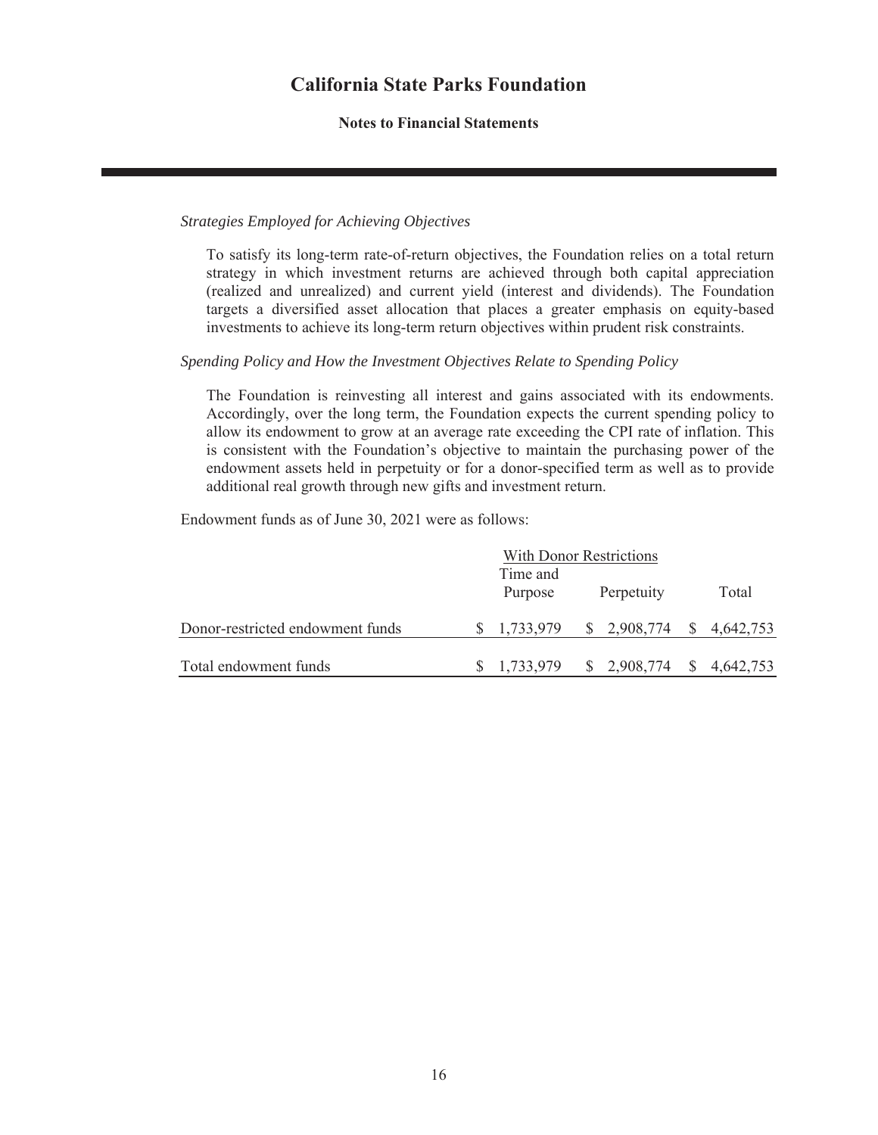#### **Notes to Financial Statements**

#### *Strategies Employed for Achieving Objectives*

To satisfy its long-term rate-of-return objectives, the Foundation relies on a total return strategy in which investment returns are achieved through both capital appreciation (realized and unrealized) and current yield (interest and dividends). The Foundation targets a diversified asset allocation that places a greater emphasis on equity-based investments to achieve its long-term return objectives within prudent risk constraints.

#### *Spending Policy and How the Investment Objectives Relate to Spending Policy*

The Foundation is reinvesting all interest and gains associated with its endowments. Accordingly, over the long term, the Foundation expects the current spending policy to allow its endowment to grow at an average rate exceeding the CPI rate of inflation. This is consistent with the Foundation's objective to maintain the purchasing power of the endowment assets held in perpetuity or for a donor-specified term as well as to provide additional real growth through new gifts and investment return.

Endowment funds as of June 30, 2021 were as follows:

|                                  | With Donor Restrictions<br>Time and |                                        |  |            |       |  |  |
|----------------------------------|-------------------------------------|----------------------------------------|--|------------|-------|--|--|
|                                  |                                     | Purpose                                |  | Perpetuity | Total |  |  |
| Donor-restricted endowment funds |                                     | $$1,733,979$ $$2,908,774$ $$4,642,753$ |  |            |       |  |  |
| Total endowment funds            |                                     | $$1,733,979$ $$2,908,774$ $$4,642,753$ |  |            |       |  |  |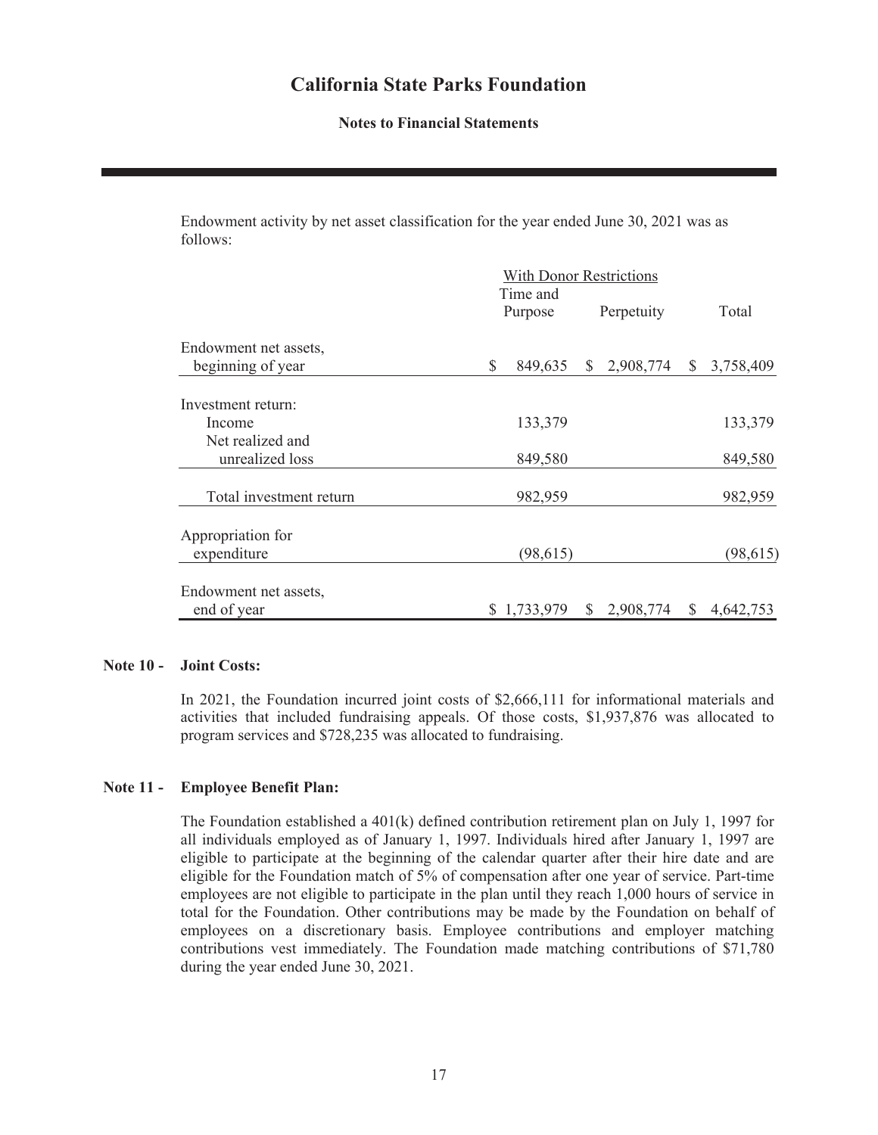**Notes to Financial Statements**

Endowment activity by net asset classification for the year ended June 30, 2021 was as follows:

|                         | <b>With Donor Restrictions</b><br>Time and |             |              |                           |    |           |  |
|-------------------------|--------------------------------------------|-------------|--------------|---------------------------|----|-----------|--|
|                         |                                            |             |              |                           |    |           |  |
|                         |                                            | Purpose     |              | Perpetuity                |    | Total     |  |
| Endowment net assets,   |                                            |             |              |                           |    |           |  |
| beginning of year       | \$                                         | 849,635     | <sup>S</sup> | 2,908,774                 | S. | 3,758,409 |  |
| Investment return:      |                                            |             |              |                           |    |           |  |
| Income                  |                                            | 133,379     |              |                           |    | 133,379   |  |
| Net realized and        |                                            |             |              |                           |    |           |  |
| unrealized loss         |                                            | 849,580     |              |                           |    | 849,580   |  |
| Total investment return |                                            | 982,959     |              |                           |    | 982,959   |  |
| Appropriation for       |                                            |             |              |                           |    |           |  |
| expenditure             |                                            | (98, 615)   |              |                           |    | (98, 615) |  |
| Endowment net assets,   |                                            |             |              |                           |    |           |  |
| end of year             |                                            | \$1,733,979 |              | $$2,908,774$ $$4,642,753$ |    |           |  |

#### **Note 10 - Joint Costs:**

In 2021, the Foundation incurred joint costs of \$2,666,111 for informational materials and activities that included fundraising appeals. Of those costs, \$1,937,876 was allocated to program services and \$728,235 was allocated to fundraising.

### **Note 11 - Employee Benefit Plan:**

The Foundation established a 401(k) defined contribution retirement plan on July 1, 1997 for all individuals employed as of January 1, 1997. Individuals hired after January 1, 1997 are eligible to participate at the beginning of the calendar quarter after their hire date and are eligible for the Foundation match of 5% of compensation after one year of service. Part-time employees are not eligible to participate in the plan until they reach 1,000 hours of service in total for the Foundation. Other contributions may be made by the Foundation on behalf of employees on a discretionary basis. Employee contributions and employer matching contributions vest immediately. The Foundation made matching contributions of \$71,780 during the year ended June 30, 2021.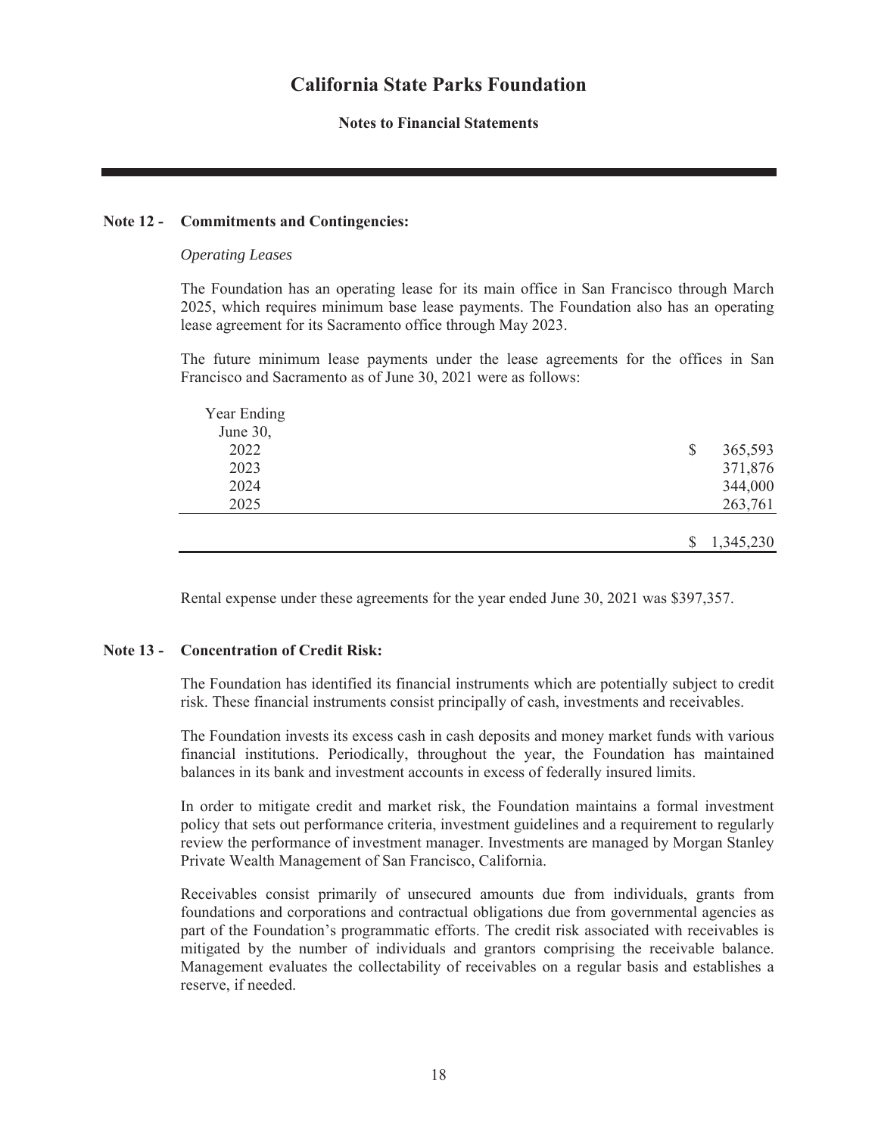#### **Notes to Financial Statements**

### **Note 12 - Commitments and Contingencies:**

#### *Operating Leases*

The Foundation has an operating lease for its main office in San Francisco through March 2025, which requires minimum base lease payments. The Foundation also has an operating lease agreement for its Sacramento office through May 2023.

The future minimum lease payments under the lease agreements for the offices in San Francisco and Sacramento as of June 30, 2021 were as follows:

| Year Ending |               |
|-------------|---------------|
| June 30,    |               |
| 2022        | \$<br>365,593 |
| 2023        | 371,876       |
| 2024        | 344,000       |
| 2025        | 263,761       |
|             |               |
|             | 1,345,230     |

Rental expense under these agreements for the year ended June 30, 2021 was \$397,357.

#### **Note 13 - Concentration of Credit Risk:**

The Foundation has identified its financial instruments which are potentially subject to credit risk. These financial instruments consist principally of cash, investments and receivables.

The Foundation invests its excess cash in cash deposits and money market funds with various financial institutions. Periodically, throughout the year, the Foundation has maintained balances in its bank and investment accounts in excess of federally insured limits.

In order to mitigate credit and market risk, the Foundation maintains a formal investment policy that sets out performance criteria, investment guidelines and a requirement to regularly review the performance of investment manager. Investments are managed by Morgan Stanley Private Wealth Management of San Francisco, California.

Receivables consist primarily of unsecured amounts due from individuals, grants from foundations and corporations and contractual obligations due from governmental agencies as part of the Foundation's programmatic efforts. The credit risk associated with receivables is mitigated by the number of individuals and grantors comprising the receivable balance. Management evaluates the collectability of receivables on a regular basis and establishes a reserve, if needed.